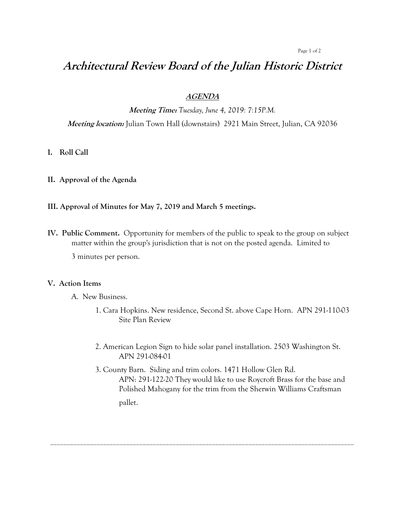#### Page 1 of 2

# **Architectural Review Board of the Julian Historic District**

### **AGENDA**

**Meeting Time:** *Tuesday, June 4, 2019: 7:15P.M.*

**Meeting location:** Julian Town Hall (downstairs) 2921 Main Street, Julian, CA 92036

#### **I. Roll Call**

**II. Approval of the Agenda**

#### **III. Approval of Minutes for May 7, 2019 and March 5 meetings.**

**IV. Public Comment.** Opportunity for members of the public to speak to the group on subject matter within the group's jurisdiction that is not on the posted agenda. Limited to

3 minutes per person.

#### **V. Action Items**

A. New Business.

- 1. Cara Hopkins. New residence, Second St. above Cape Horn. APN 291-110-03 Site Plan Review
- 2. American Legion Sign to hide solar panel installation. 2503 Washington St. APN 291-084-01
- 3. County Barn. Siding and trim colors. 1471 Hollow Glen Rd. APN: 291-122-20 They would like to use Roycroft Brass for the base and Polished Mahogany for the trim from the Sherwin Williams Craftsman pallet.

\_\_\_\_\_\_\_\_\_\_\_\_\_\_\_\_\_\_\_\_\_\_\_\_\_\_\_\_\_\_\_\_\_\_\_\_\_\_\_\_\_\_\_\_\_\_\_\_\_\_\_\_\_\_\_\_\_\_\_\_\_\_\_\_\_\_\_\_\_\_\_\_\_\_\_\_\_\_\_\_\_\_\_\_\_\_\_\_\_\_\_\_